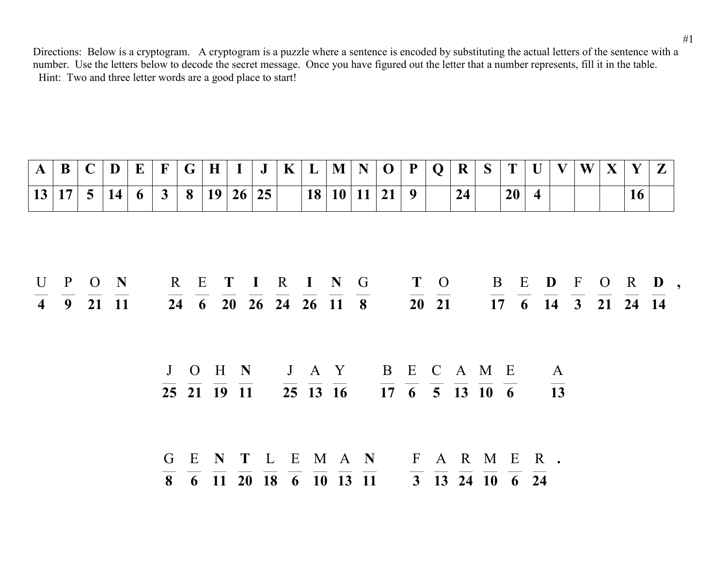| A           | B                                                             | $\mathbf C$    | D         | $\bf{E}$ | $\mathbf F$    | G           | $\bf{H}$    |       |    | K | L | M                                                                                                                                                                                                                                          | N | $\bf{O}$                                                                                     | P | $\bf{O}$                        | R  | S |           |                         |    | W | X |                                                                                                               | $\mathbf{Z}$                  |
|-------------|---------------------------------------------------------------|----------------|-----------|----------|----------------|-------------|-------------|-------|----|---|---|--------------------------------------------------------------------------------------------------------------------------------------------------------------------------------------------------------------------------------------------|---|----------------------------------------------------------------------------------------------|---|---------------------------------|----|---|-----------|-------------------------|----|---|---|---------------------------------------------------------------------------------------------------------------|-------------------------------|
|             | 13 17                                                         | 5 <sup>5</sup> | <b>14</b> | 6        | 3 <sup>1</sup> | 8           |             | 19 26 | 25 |   |   | 18 10 11                                                                                                                                                                                                                                   |   | 21                                                                                           | 9 |                                 | 24 |   | <b>20</b> | $\overline{\mathbf{4}}$ |    |   |   | 16                                                                                                            |                               |
|             |                                                               |                |           |          |                |             |             |       |    |   |   |                                                                                                                                                                                                                                            |   |                                                                                              |   |                                 |    |   |           |                         |    |   |   |                                                                                                               |                               |
|             |                                                               |                |           |          |                |             |             |       |    |   |   |                                                                                                                                                                                                                                            |   |                                                                                              |   |                                 |    |   |           |                         |    |   |   |                                                                                                               |                               |
|             |                                                               |                |           |          |                |             |             |       |    |   |   |                                                                                                                                                                                                                                            |   |                                                                                              |   |                                 |    |   |           |                         |    |   |   |                                                                                                               |                               |
| $\mathbf U$ | $\mathbf{P}$                                                  |                | $O$ N     |          |                | R E         |             |       |    |   |   | TIRING                                                                                                                                                                                                                                     |   | T O                                                                                          |   |                                 |    |   |           |                         |    |   |   |                                                                                                               | B E <b>D</b> F O R <b>D</b> , |
|             | $\overline{4}$ $\overline{9}$ $\overline{21}$ $\overline{11}$ |                |           |          |                |             |             |       |    |   |   | $\overline{24}$ $\overline{6}$ $\overline{20}$ $\overline{26}$ $\overline{24}$ $\overline{26}$ $\overline{11}$ $\overline{8}$                                                                                                              |   |                                                                                              |   | $\overline{20}$ $\overline{21}$ |    |   |           |                         |    |   |   | $\overline{17}$ $\overline{6}$ $\overline{14}$ $\overline{3}$ $\overline{21}$ $\overline{24}$ $\overline{14}$ |                               |
|             |                                                               |                |           |          |                |             |             |       |    |   |   |                                                                                                                                                                                                                                            |   |                                                                                              |   |                                 |    |   |           |                         |    |   |   |                                                                                                               |                               |
|             |                                                               |                |           |          |                |             |             |       |    |   |   |                                                                                                                                                                                                                                            |   |                                                                                              |   |                                 |    |   |           |                         |    |   |   |                                                                                                               |                               |
|             |                                                               |                |           |          |                | $J \quad O$ |             | H N   |    |   |   | J A Y B E C A M E                                                                                                                                                                                                                          |   |                                                                                              |   |                                 |    |   |           | $\overline{A}$          |    |   |   |                                                                                                               |                               |
|             |                                                               |                |           |          |                |             | 25 21 19 11 |       |    |   |   | 25 13 16                                                                                                                                                                                                                                   |   | $\overline{17}$ $\overline{6}$ $\overline{5}$ $\overline{13}$ $\overline{10}$ $\overline{6}$ |   |                                 |    |   |           |                         | 13 |   |   |                                                                                                               |                               |
|             |                                                               |                |           |          |                |             |             |       |    |   |   |                                                                                                                                                                                                                                            |   |                                                                                              |   |                                 |    |   |           |                         |    |   |   |                                                                                                               |                               |
|             |                                                               |                |           |          |                |             |             |       |    |   |   |                                                                                                                                                                                                                                            |   |                                                                                              |   |                                 |    |   |           |                         |    |   |   |                                                                                                               |                               |
|             |                                                               |                |           |          |                |             |             |       |    |   |   | GENTLEMAN FARMER.                                                                                                                                                                                                                          |   |                                                                                              |   |                                 |    |   |           |                         |    |   |   |                                                                                                               |                               |
|             |                                                               |                |           |          |                |             |             |       |    |   |   | $\overline{8}$ $\overline{6}$ $\overline{11}$ $\overline{20}$ $\overline{18}$ $\overline{6}$ $\overline{10}$ $\overline{13}$ $\overline{11}$ $\overline{3}$ $\overline{13}$ $\overline{24}$ $\overline{10}$ $\overline{6}$ $\overline{24}$ |   |                                                                                              |   |                                 |    |   |           |                         |    |   |   |                                                                                                               |                               |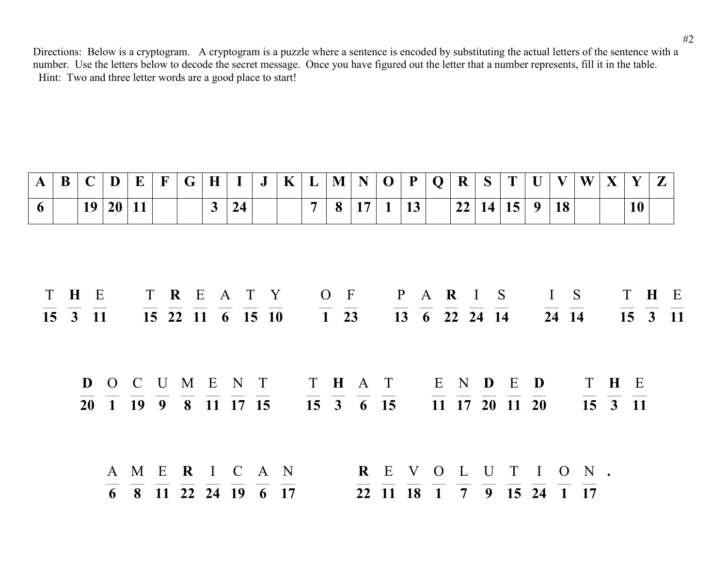| $\mathbf{A}$ | B   | $\mathbf C$  | D         | $\bf{E}$           | $\mathbf{F}$ | G | $\bf{H}$ |                                 | J | $\mathbf K$ | $\bf{L}$       | M                                       | N       | $\bf{O}$     | P                          | Q | $\bf R$ | S       |                                          | $\mathbf{U}$ | V            | W    | X   |                  | $\mathbf{Z}$ |  |
|--------------|-----|--------------|-----------|--------------------|--------------|---|----------|---------------------------------|---|-------------|----------------|-----------------------------------------|---------|--------------|----------------------------|---|---------|---------|------------------------------------------|--------------|--------------|------|-----|------------------|--------------|--|
| 6            |     | 19           | <b>20</b> | <b>11</b>          |              |   | 3        | 24                              |   |             | $\overline{7}$ | 8                                       | 17      | $\mathbf{1}$ | 13                         |   | 22 14   |         | 15                                       | 9            | 18           |      |     | 10               |              |  |
|              | T H | E<br>15 3 11 |           |                    |              |   |          | T R E A T Y<br>15 22 11 6 15 10 |   |             |                | $O$ F<br>$\overline{1}$ $\overline{23}$ |         |              | P A R I S<br>13 6 22 24 14 |   |         |         |                                          |              | I S<br>24 14 |      |     | T H E<br>15 3 11 |              |  |
|              |     |              |           | $\mathbf{D}$ O C U |              |   |          | M E N T<br>20 1 19 9 8 11 17 15 |   |             | 15 3 6 15      |                                         | T H A T |              |                            |   |         | E N D E | 11 17 20 11 20                           | D            |              |      | T H | E<br>15 3 11     |              |  |
|              |     |              | 6         | A M E              |              |   |          | R I C A N<br>8 11 22 24 19 6 17 |   |             |                |                                         |         | 22 11        | <b>18</b>                  |   |         |         | REVOLUTION.<br>$1 \t 7 \t 9 \t 15 \t 24$ |              |              | 1 17 |     |                  |              |  |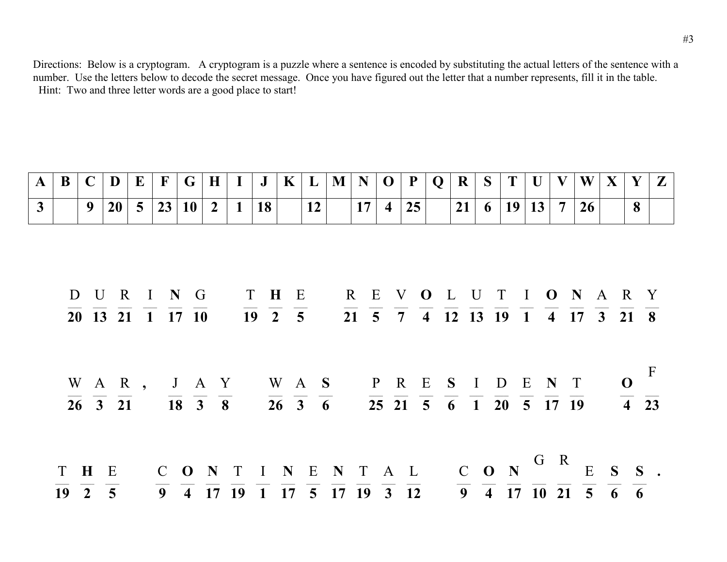| A              | B  | C            | D                     |             | $\bf{E}$        | $\mathbf{F}$                                                                                   | G         | $\bf H$                                       |              | J                                                                                                            | $\mathbf K$ | $\bf{L}$                                      | M | N  | $\mathbf{O}$   | ${\bf P}$ | $\bf{Q}$ | $\bf R$ | S | T                                                                                                                                           | U  | $\mathbf V$    | W                                                                                                                                       | X         | Y                              | $\mathbf{Z}$ |
|----------------|----|--------------|-----------------------|-------------|-----------------|------------------------------------------------------------------------------------------------|-----------|-----------------------------------------------|--------------|--------------------------------------------------------------------------------------------------------------|-------------|-----------------------------------------------|---|----|----------------|-----------|----------|---------|---|---------------------------------------------------------------------------------------------------------------------------------------------|----|----------------|-----------------------------------------------------------------------------------------------------------------------------------------|-----------|--------------------------------|--------------|
| $\overline{3}$ |    | 9            | <b>20</b>             |             | $5\overline{)}$ | 23                                                                                             | <b>10</b> | $\overline{2}$                                | $\mathbf{1}$ | 18                                                                                                           |             | 12                                            |   | 17 | $\overline{4}$ | 25        |          | 21      | 6 | <b>19</b>                                                                                                                                   | 13 | $\overline{7}$ | 26                                                                                                                                      |           | 8                              |              |
|                |    |              |                       |             |                 |                                                                                                |           |                                               |              |                                                                                                              |             |                                               |   |    |                |           |          |         |   |                                                                                                                                             |    |                |                                                                                                                                         |           |                                |              |
|                |    |              |                       |             |                 |                                                                                                |           |                                               |              |                                                                                                              |             |                                               |   |    |                |           |          |         |   |                                                                                                                                             |    |                |                                                                                                                                         |           |                                |              |
|                |    |              |                       |             |                 |                                                                                                |           |                                               |              |                                                                                                              |             |                                               |   |    |                |           |          |         |   |                                                                                                                                             |    |                |                                                                                                                                         |           |                                |              |
|                | D  |              | $\bf U$               | $\mathbf R$ |                 | I N G                                                                                          |           |                                               |              | T H                                                                                                          | E           |                                               |   |    |                |           |          |         |   | R E V O L U T I O N                                                                                                                         |    |                |                                                                                                                                         | A R Y     |                                |              |
|                |    |              |                       |             |                 | $\overline{20}$ $\overline{13}$ $\overline{21}$ $\overline{1}$ $\overline{17}$ $\overline{10}$ |           |                                               |              | $\overline{19}$ $\overline{2}$ $\overline{5}$                                                                |             |                                               |   |    |                |           |          |         |   |                                                                                                                                             |    |                | $\overline{21}$ $\overline{5}$ $\overline{7}$ $\overline{4}$ $\overline{12}$ $\overline{13}$ $\overline{19}$ $\overline{1}$ 4 17 3 21 8 |           |                                |              |
|                |    |              |                       |             |                 |                                                                                                |           |                                               |              |                                                                                                              |             |                                               |   |    |                |           |          |         |   |                                                                                                                                             |    |                |                                                                                                                                         |           |                                |              |
|                |    |              |                       |             |                 |                                                                                                |           |                                               |              |                                                                                                              |             |                                               |   |    |                |           |          |         |   |                                                                                                                                             |    |                |                                                                                                                                         |           |                                | $\mathbf{F}$ |
|                |    |              |                       |             |                 |                                                                                                |           | WAR, JAY                                      |              |                                                                                                              |             |                                               |   |    |                |           |          |         |   | WAS PRESIDENT                                                                                                                               |    |                |                                                                                                                                         |           | $\mathbf{O}$                   |              |
|                |    |              | $26 \quad 3 \quad 21$ |             |                 |                                                                                                |           | $\overline{18}$ $\overline{3}$ $\overline{8}$ |              |                                                                                                              |             | $\overline{26}$ $\overline{3}$ $\overline{6}$ |   |    |                |           |          |         |   | $\overline{25}$ $\overline{21}$ $\overline{5}$ $\overline{6}$ $\overline{1}$ $\overline{20}$ $\overline{5}$ $\overline{17}$ $\overline{19}$ |    |                |                                                                                                                                         |           | $\overline{4}$ $\overline{23}$ |              |
|                |    |              |                       |             |                 |                                                                                                |           |                                               |              |                                                                                                              |             |                                               |   |    |                |           |          |         |   |                                                                                                                                             |    |                |                                                                                                                                         |           |                                |              |
|                |    |              |                       |             |                 |                                                                                                |           |                                               |              |                                                                                                              |             |                                               |   |    |                |           |          |         |   |                                                                                                                                             |    |                |                                                                                                                                         |           |                                |              |
|                | T  | $\mathbf{H}$ | E                     |             |                 | $\mathbf C$                                                                                    |           |                                               |              | ONTINENTAL                                                                                                   |             |                                               |   |    |                |           |          |         |   | $C$ O N                                                                                                                                     |    | G R            |                                                                                                                                         | $E$ S S . |                                |              |
|                | 19 |              | $2 \quad 5$           |             |                 |                                                                                                |           | 9 4 17 19                                     |              | $\overline{1}$ $\overline{17}$ $\overline{5}$ $\overline{17}$ $\overline{19}$ $\overline{3}$ $\overline{12}$ |             |                                               |   |    |                |           |          |         |   | $\overline{9}$ $\overline{4}$ $\overline{17}$                                                                                               |    |                | $10\ 21\ 5\ 6$                                                                                                                          |           | 6                              |              |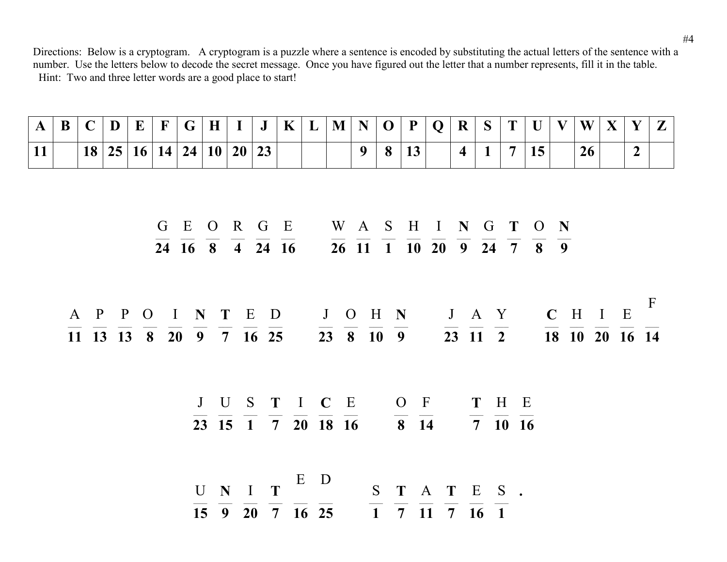| A | B | $\sqrt{ }$ | D | E <sub>1</sub> | $ \mathbf{F} $ | $\mathbf G$ | $\mathbf H$ | $\bf J$                 | $\mathbf K$ | $\mathbf{L}$ | $M \mid N \mid$ | 0 | $\mathbf{P}$ | $Q \mid R$ |          | $\mathbf S$ | $\top$ | $\mathbf{H}$ | $\mathbf V$ | W | $\mathbf{V}$<br>$\Lambda$ | $\mathbf{V}$ | $\sim$ |
|---|---|------------|---|----------------|----------------|-------------|-------------|-------------------------|-------------|--------------|-----------------|---|--------------|------------|----------|-------------|--------|--------------|-------------|---|---------------------------|--------------|--------|
|   |   |            |   |                |                |             |             | 18 25 16 14 24 10 20 23 |             |              |                 | 8 | ⊥◡           |            | $\Delta$ |             |        |              |             |   |                           |              |        |

|  |  |  | GEORGE WASHINGTON                        |  |  |  |  |  |
|--|--|--|------------------------------------------|--|--|--|--|--|
|  |  |  | 24 16 8 4 24 16 26 11 1 10 20 9 24 7 8 9 |  |  |  |  |  |

A P P O I **N T** E D J O H **N** J A Y **C** H I E F  $\overline{11}$   $\overline{13}$   $\overline{13}$   $\overline{8}$   $\overline{20}$   $\overline{9}$   $\overline{7}$   $\overline{16}$   $\overline{25}$   $\overline{23}$   $\overline{8}$   $\overline{10}$   $\overline{9}$   $\overline{23}$   $\overline{11}$   $\overline{2}$   $\overline{18}$   $\overline{10}$   $\overline{20}$   $\overline{16}$   $\overline{14}$ 

> J U S **T** I **C** E O F **T** H E  $\overline{23}$   $\overline{15}$   $\overline{1}$   $\overline{7}$   $\overline{20}$   $\overline{18}$   $\overline{16}$   $\overline{8}$   $\overline{14}$   $\overline{7}$   $\overline{10}$   $\overline{16}$

U **N** I **T** E D S **T** A **T** E S **.**  $\overline{1}$   $\overline{7}$   $\overline{11}$   $\overline{7}$   $\overline{10}$   $\overline{1}$   $\overline{10}$   $\overline{1}$  $\overline{15}$   $\overline{9}$   $\overline{20}$   $\overline{7}$   $\overline{16}$   $\overline{25}$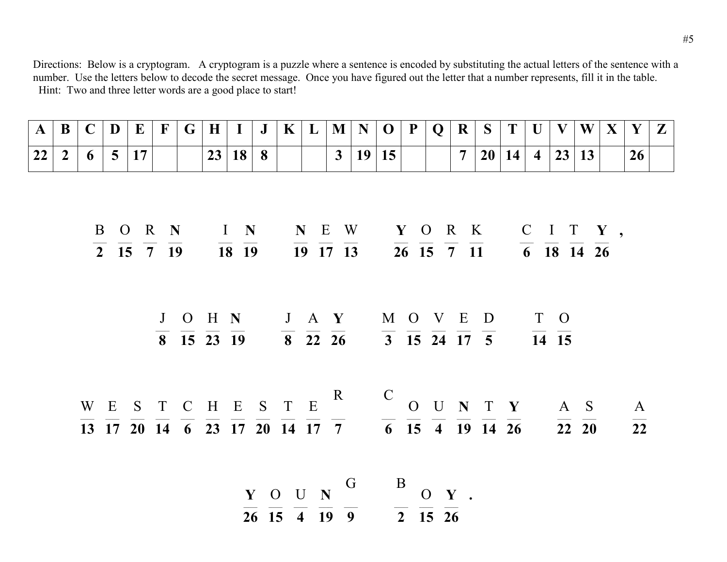| $\mathbf{A}$ | B              | $\mathbf C$ | D              | E                                                                                                                                                                                                                                                                           | $\mathbf{F}$ | G | $\bf H$ |       | $\bf J$ | $\mathbf K$ | L | M              | N  | $\mathbf 0$                                                                                                                                                                                 | $\mathbf P$  | $\mathbf Q$   | $\bf R$        | S  | T  | $\mathbf{U}$   | V                                                              | W                               | $\mathbf{X}$ | Y               | $\mathbf{Z}$ |
|--------------|----------------|-------------|----------------|-----------------------------------------------------------------------------------------------------------------------------------------------------------------------------------------------------------------------------------------------------------------------------|--------------|---|---------|-------|---------|-------------|---|----------------|----|---------------------------------------------------------------------------------------------------------------------------------------------------------------------------------------------|--------------|---------------|----------------|----|----|----------------|----------------------------------------------------------------|---------------------------------|--------------|-----------------|--------------|
| 22           | $\overline{2}$ | 6           | 5 <sup>5</sup> | 17                                                                                                                                                                                                                                                                          |              |   |         | 23 18 | 8       |             |   | 3 <sup>1</sup> | 19 | 15                                                                                                                                                                                          |              |               | $\overline{7}$ | 20 | 14 | $\overline{4}$ | 23                                                             | 13                              |              | 26              |              |
|              |                |             |                |                                                                                                                                                                                                                                                                             |              |   |         |       |         |             |   |                |    |                                                                                                                                                                                             |              |               |                |    |    |                |                                                                |                                 |              |                 |              |
|              |                |             |                |                                                                                                                                                                                                                                                                             |              |   |         |       |         |             |   |                |    |                                                                                                                                                                                             |              |               |                |    |    |                |                                                                |                                 |              |                 |              |
|              |                |             |                | B O R N I N                                                                                                                                                                                                                                                                 |              |   |         |       |         |             |   |                |    |                                                                                                                                                                                             |              |               |                |    |    |                | NEW YORK CITY,                                                 |                                 |              |                 |              |
|              |                |             |                | $\overline{2}$ $\overline{15}$ $\overline{7}$ $\overline{19}$                                                                                                                                                                                                               |              |   |         | 18 19 |         |             |   |                |    | $\overline{19}$ $\overline{17}$ $\overline{13}$ $\overline{26}$ $\overline{15}$ $\overline{7}$ $\overline{11}$                                                                              |              |               |                |    |    |                | $\overline{6}$ $\overline{18}$ $\overline{14}$ $\overline{26}$ |                                 |              |                 |              |
|              |                |             |                |                                                                                                                                                                                                                                                                             |              |   |         |       |         |             |   |                |    |                                                                                                                                                                                             |              |               |                |    |    |                |                                                                |                                 |              |                 |              |
|              |                |             |                |                                                                                                                                                                                                                                                                             |              |   |         |       |         |             |   |                |    |                                                                                                                                                                                             |              |               |                |    |    |                |                                                                |                                 |              |                 |              |
|              |                |             |                |                                                                                                                                                                                                                                                                             |              |   |         |       |         |             |   |                |    | J O H N J A Y M O V E D                                                                                                                                                                     |              |               |                |    |    | T O            |                                                                |                                 |              |                 |              |
|              |                |             |                |                                                                                                                                                                                                                                                                             |              |   |         |       |         |             |   |                |    | $\overline{8}$ $\overline{15}$ $\overline{23}$ $\overline{19}$ $\overline{8}$ $\overline{22}$ $\overline{26}$ $\overline{3}$ $\overline{15}$ $\overline{24}$ $\overline{17}$ $\overline{5}$ |              |               |                |    |    |                | $\overline{14}$ $\overline{15}$                                |                                 |              |                 |              |
|              |                |             |                |                                                                                                                                                                                                                                                                             |              |   |         |       |         |             |   |                |    |                                                                                                                                                                                             |              |               |                |    |    |                |                                                                |                                 |              |                 |              |
|              |                |             | W E            | S                                                                                                                                                                                                                                                                           |              |   |         |       |         |             |   |                |    | T C H E S T E R C O U N T Y                                                                                                                                                                 |              |               |                |    |    |                | A S                                                            |                                 |              | $\mathbf{A}$    |              |
|              |                |             |                | $\overline{13}$ $\overline{17}$ $\overline{20}$ $\overline{14}$ $\overline{6}$ $\overline{23}$ $\overline{17}$ $\overline{20}$ $\overline{14}$ $\overline{17}$ $\overline{7}$ $\overline{6}$ $\overline{15}$ $\overline{4}$ $\overline{19}$ $\overline{14}$ $\overline{26}$ |              |   |         |       |         |             |   |                |    |                                                                                                                                                                                             |              |               |                |    |    |                |                                                                | $\overline{22}$ $\overline{20}$ |              | $\overline{22}$ |              |
|              |                |             |                |                                                                                                                                                                                                                                                                             |              |   |         |       |         |             |   |                |    |                                                                                                                                                                                             |              |               |                |    |    |                |                                                                |                                 |              |                 |              |
|              |                |             |                |                                                                                                                                                                                                                                                                             |              |   |         |       |         |             |   |                |    |                                                                                                                                                                                             |              |               |                |    |    |                |                                                                |                                 |              |                 |              |
|              |                |             |                |                                                                                                                                                                                                                                                                             |              |   |         |       |         | Y O U N     |   |                | G  |                                                                                                                                                                                             | $\mathbf{B}$ | $O \quad Y$ . |                |    |    |                |                                                                |                                 |              |                 |              |

 $\frac{Y}{26}$   $\frac{O}{15}$   $\frac{U}{4}$   $\frac{N}{19}$   $\frac{}{9}$   $\frac{}{2}$   $\frac{O}{15}$   $\frac{Y}{26}$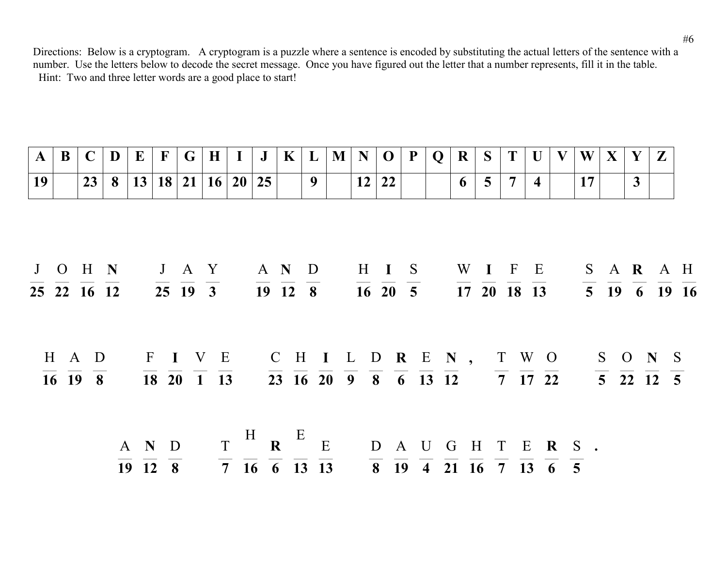| $\mathbf{A}$    | B | $\mathbf C$                                    | D              | $\bf{E}$ | $\mathbf F$      | G | $\mathbf H$                                                    |                                                                           | $\mathbf J$ | $\mathbf K$   | $\bf{L}$ | $\mathbf{M}$ | N  | $\mathbf 0$                                                                                                                                                                 | P | Q | R | S                       | T              | U                       |      | W  | $\mathbf{X}$ | Y | $\mathbf{Z}$                                                  |                                                                               |
|-----------------|---|------------------------------------------------|----------------|----------|------------------|---|----------------------------------------------------------------|---------------------------------------------------------------------------|-------------|---------------|----------|--------------|----|-----------------------------------------------------------------------------------------------------------------------------------------------------------------------------|---|---|---|-------------------------|----------------|-------------------------|------|----|--------------|---|---------------------------------------------------------------|-------------------------------------------------------------------------------|
| $\overline{19}$ |   | 23                                             | 8 <sup>1</sup> |          |                  |   | 13 18 21 16                                                    |                                                                           | 20 25       |               | 9        |              | 12 | 22                                                                                                                                                                          |   |   | 6 | $\overline{\mathbf{5}}$ | $\overline{7}$ | $\overline{\mathbf{4}}$ |      | 17 |              | 3 |                                                               |                                                                               |
|                 |   |                                                |                |          |                  |   |                                                                |                                                                           |             |               |          |              |    |                                                                                                                                                                             |   |   |   |                         |                |                         |      |    |              |   |                                                               |                                                                               |
|                 |   |                                                | J O H N        |          |                  |   | J A Y                                                          |                                                                           | A N D       |               |          |              |    | H I S                                                                                                                                                                       |   |   |   |                         | W I F E        |                         |      |    |              |   |                                                               | S A R A H                                                                     |
|                 |   |                                                | 25 22 16 12    |          |                  |   | 25 19 3                                                        |                                                                           |             | $19 \t12 \t8$ |          |              |    | $\overline{16}$ $\overline{20}$ $\overline{5}$                                                                                                                              |   |   |   |                         | 17 20 18 13    |                         |      |    |              |   |                                                               | $\overline{5}$ $\overline{19}$ $\overline{6}$ $\overline{19}$ $\overline{16}$ |
|                 |   | $H \land D$                                    |                |          |                  |   | FIVE CHILDREN, TWO                                             |                                                                           |             |               |          |              |    |                                                                                                                                                                             |   |   |   |                         |                |                         |      |    |              |   | S O N S                                                       |                                                                               |
|                 |   | $\overline{16}$ $\overline{19}$ $\overline{8}$ |                |          |                  |   | $\overline{18}$ $\overline{20}$ $\overline{1}$ $\overline{13}$ |                                                                           |             |               |          |              |    | $\overline{23}$ $\overline{16}$ $\overline{20}$ $\overline{9}$ $\overline{8}$ $\overline{6}$ $\overline{13}$ $\overline{12}$ $\overline{7}$ $\overline{17}$ $\overline{22}$ |   |   |   |                         |                |                         |      |    |              |   | $\overline{5}$ $\overline{22}$ $\overline{12}$ $\overline{5}$ |                                                                               |
|                 |   |                                                |                |          | A N D<br>19 12 8 |   |                                                                | $T \begin{array}{ccc} H & E & E \\ R & E & E \end{array}$<br>7 16 6 13 13 |             |               |          |              |    | D A U G H T<br>8 19 4 21 16 7 13 6 5                                                                                                                                        |   |   |   |                         |                |                         | ERS. |    |              |   |                                                               |                                                                               |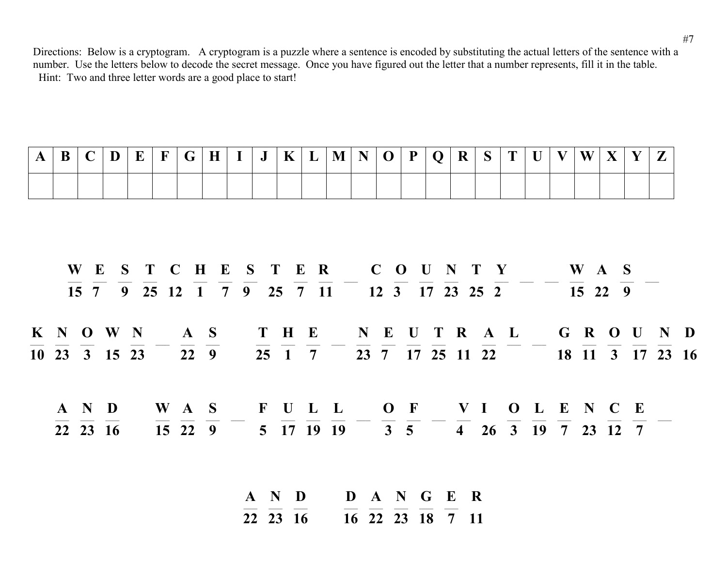| B | D |  | $\mathbf G$ |  | $I \mid J \mid$ | $\mathbf{K}$ | $\mathbf{L}$ | $\parallel$ M $\parallel$ | $\mid N \mid O \mid P \mid Q \mid R$ |  |  | $\vert S \vert T \vert$ |  | $\mathbf{W}^{\top}$ | $\mathbf{v}$ | $\mathbf{V}$ | $\overline{ }$ |
|---|---|--|-------------|--|-----------------|--------------|--------------|---------------------------|--------------------------------------|--|--|-------------------------|--|---------------------|--------------|--------------|----------------|
|   |   |  |             |  |                 |              |              |                           |                                      |  |  |                         |  |                     |              |              |                |

|           |          |  |  | WESTCHESTER COUNTY WAS                                      |  |  |  |  |  |  |  |  |  |
|-----------|----------|--|--|-------------------------------------------------------------|--|--|--|--|--|--|--|--|--|
|           |          |  |  | 15 7 9 25 12 1 7 9 25 7 11 12 3 17 23 25 2 15 22 9          |  |  |  |  |  |  |  |  |  |
| K N O W N |          |  |  | AS THE NEUTRAL GROUND                                       |  |  |  |  |  |  |  |  |  |
|           |          |  |  | 10 23 3 15 23 22 9 25 1 7 23 7 17 25 11 22 18 11 3 17 23 16 |  |  |  |  |  |  |  |  |  |
|           | A N D    |  |  | WAS FULL OF VIOLENCE                                        |  |  |  |  |  |  |  |  |  |
|           | 22 23 16 |  |  | 15 22 9 5 17 19 19 3 5 4 26 3 19 7 23 12 7                  |  |  |  |  |  |  |  |  |  |

**A N D D A N G E R**  $\overline{22}$  **23 16 16 22 23 18 7 11**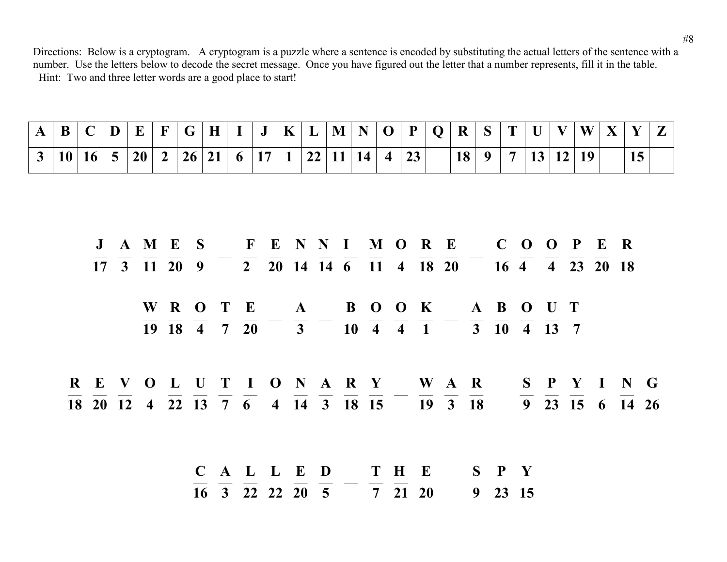| A |  |  |  |  | $ B C D E F G H I J K L M N O P Q R S T U V $ |  |  |  |  |  |  | $\mathbf{W} \mathbf{X} \mathbf{Y}$ |  | Z |
|---|--|--|--|--|-----------------------------------------------|--|--|--|--|--|--|------------------------------------|--|---|
|   |  |  |  |  | $ 10 16 5 20 2 26 21 6 17 1 22 11 14 4 23 $   |  |  |  |  |  |  | 18 9 7 13 12 19                    |  |   |

|  |  |  |                         |  |  |  | J A M E S F E N N I M O R E C O O P E R                                                                                                        |             |  |  |  |  |
|--|--|--|-------------------------|--|--|--|------------------------------------------------------------------------------------------------------------------------------------------------|-------------|--|--|--|--|
|  |  |  |                         |  |  |  | 17 3 11 20 9 2 20 14 14 6 $\overline{11}$ 4 $\overline{18}$ $\overline{20}$ 6 $\overline{4}$ $\overline{4}$ $\overline{23}$ $\overline{20}$ 18 |             |  |  |  |  |
|  |  |  |                         |  |  |  | WROTE A BOOK ABOUT                                                                                                                             |             |  |  |  |  |
|  |  |  |                         |  |  |  | 19 18 4 7 20 3 10 4 4 1 3 10 4 13 7                                                                                                            |             |  |  |  |  |
|  |  |  |                         |  |  |  | REVOLUTIONARY WAR SPYING                                                                                                                       |             |  |  |  |  |
|  |  |  |                         |  |  |  | 18 20 12 4 22 13 7 6 4 14 3 18 15 19 3 18 9 23 15 6 14 26                                                                                      |             |  |  |  |  |
|  |  |  |                         |  |  |  |                                                                                                                                                |             |  |  |  |  |
|  |  |  | $C$ A L L E D T H E     |  |  |  |                                                                                                                                                | $S$ $P$ $Y$ |  |  |  |  |
|  |  |  | 16 3 22 22 20 5 7 21 20 |  |  |  |                                                                                                                                                | 9 23 15     |  |  |  |  |